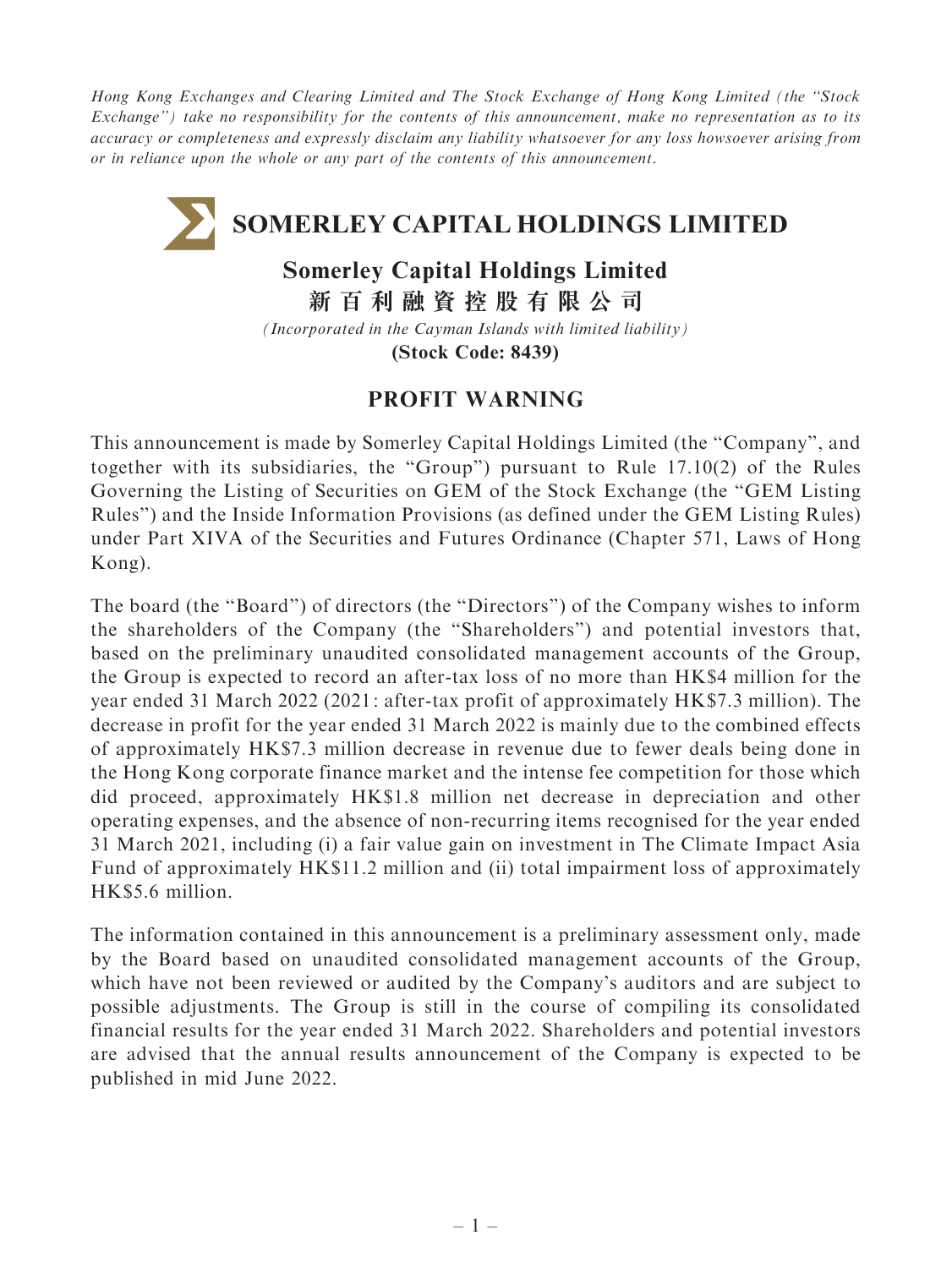Hong Kong Exchanges and Clearing Limited and The Stock Exchange of Hong Kong Limited (the ''Stock Exchange'') take no responsibility for the contents of this announcement, make no representation as to its accuracy or completeness and expressly disclaim any liability whatsoever for any loss howsoever arising from or in reliance upon the whole or any part of the contents of this announcement.

## **SOMERLEY CAPITAL HOLDINGS LIMITED**

## **Somerley Capital Holdings Limited**

**新百利融資控股有限公司**

*(Incorporated in the Cayman Islands with limited liability)*

**(Stock Code: 8439)**

## PROFIT WARNING

This announcement is made by Somerley Capital Holdings Limited (the ''Company'', and together with its subsidiaries, the ''Group'') pursuant to Rule 17.10(2) of the Rules Governing the Listing of Securities on GEM of the Stock Exchange (the ''GEM Listing Rules'') and the Inside Information Provisions (as defined under the GEM Listing Rules) under Part XIVA of the Securities and Futures Ordinance (Chapter 571, Laws of Hong Kong).

The board (the ''Board'') of directors (the ''Directors'') of the Company wishes to inform the shareholders of the Company (the ''Shareholders'') and potential investors that, based on the preliminary unaudited consolidated management accounts of the Group, the Group is expected to record an after-tax loss of no more than HK\$4 million for the year ended 31 March 2022 (2021 : after-tax profit of approximately HK\$7.3 million). The decrease in profit for the year ended 31 March 2022 is mainly due to the combined effects of approximately HK\$7.3 million decrease in revenue due to fewer deals being done in the Hong Kong corporate finance market and the intense fee competition for those which did proceed, approximately HK\$1.8 million net decrease in depreciation and other operating expenses, and the absence of non-recurring items recognised for the year ended 31 March 2021, including (i) a fair value gain on investment in The Climate Impact Asia Fund of approximately HK\$11.2 million and (ii) total impairment loss of approximately HK\$5.6 million.

The information contained in this announcement is a preliminary assessment only, made by the Board based on unaudited consolidated management accounts of the Group, which have not been reviewed or audited by the Company's auditors and are subject to possible adjustments. The Group is still in the course of compiling its consolidated financial results for the year ended 31 March 2022. Shareholders and potential investors are advised that the annual results announcement of the Company is expected to be published in mid June 2022.